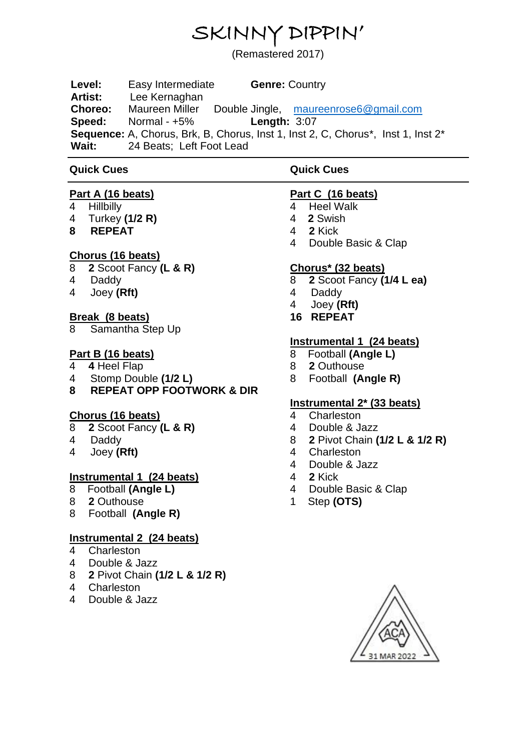# SKINNY DIPPIN'

(Remastered 2017)

**Level:** Easy Intermediate **Genre:** Country **Artist:** Lee Kernaghan **Choreo:** Maureen Miller Double Jingle, [maureenrose6@gmail.com](mailto:maureenrose6@gmail.com) **Speed:** Normal - +5% **Length:** 3:07 Sequence: A, Chorus, Brk, B, Chorus, Inst 1, Inst 2, C, Chorus<sup>\*</sup>, Inst 1, Inst 2<sup>\*</sup><br>Wait: 24 Beats: Left Foot Lead 24 Beats; Left Foot Lead

#### **Quick Cues**

#### **Quick Cues**

#### **Part A (16 beats)**

- 4 Hillbilly
- 4 Turkey **(1/2 R)**
- **8 REPEAT**

# **Chorus (16 beats)**

- 8 **2** Scoot Fancy **(L & R)**
- 4 Daddy
- 4 Joey **(Rft)**

# **Break (8 beats)**

8 Samantha Step Up

# **Part B (16 beats)**

- 4 **4** Heel Flap
- 4 Stomp Double **(1/2 L)**
- **8 REPEAT OPP FOOTWORK & DIR**

#### **Chorus (16 beats)**

- 8 **2** Scoot Fancy **(L & R)**
- 4 Daddy
- 4 Joey **(Rft)**

#### **Instrumental 1 (24 beats)**

- 8 Football **(Angle L)**
- 8 **2** Outhouse
- 8 Football **(Angle R)**

#### **Instrumental 2 (24 beats)**

- 4 Charleston
- 4 Double & Jazz
- 8 **2** Pivot Chain **(1/2 L & 1/2 R)**
- 4 Charleston
- 4 Double & Jazz

# **Part C (16 beats)**

- 4 Heel Walk
- 4 **2** Swish
- 4 **2** Kick
- 4 Double Basic & Clap

#### **Chorus\* (32 beats)**

- 8 **2** Scoot Fancy **(1/4 L ea)**
- 4 Daddy
- 4 Joey **(Rft)**
- **16 REPEAT**

# **Instrumental 1 (24 beats)**

- 8 Football **(Angle L)**
- 8 **2** Outhouse
- 8 Football **(Angle R)**

# **Instrumental 2\* (33 beats)**

- 4 Charleston
- 4 Double & Jazz
- 8 **2** Pivot Chain **(1/2 L & 1/2 R)**
- 4 Charleston<br>4 Double & Ja
- Double & Jazz
- 4 **2** Kick
- 4 Double Basic & Clap
- 1 Step **(OTS)**